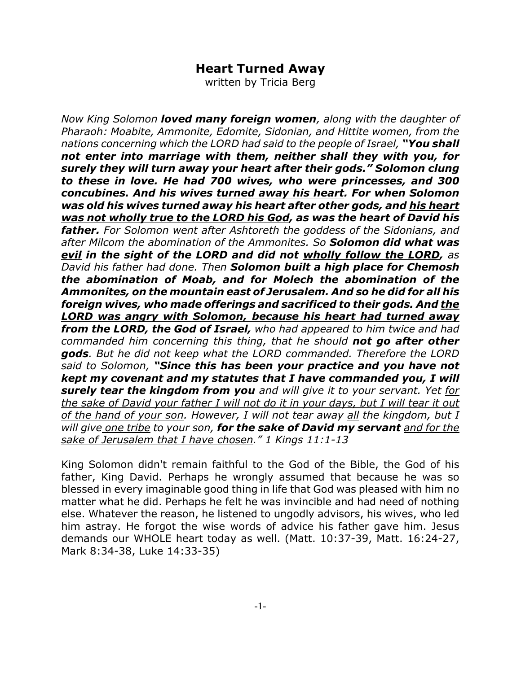# **Heart Turned Away**

written by Tricia Berg

*Now King Solomon loved many foreign women, along with the daughter of Pharaoh: Moabite, Ammonite, Edomite, Sidonian, and Hittite women, from the nations concerning which the LORD had said to the people of Israel, "You shall not enter into marriage with them, neither shall they with you, for surely they will turn away your heart after their gods." Solomon clung to these in love. He had 700 wives, who were princesses, and 300 concubines. And his wives turned away his heart. For when Solomon was old his wives turned away his heart after other gods, and his heart was not wholly true to the LORD his God, as was the heart of David his father. For Solomon went after Ashtoreth the goddess of the Sidonians, and after Milcom the abomination of the Ammonites. So Solomon did what was evil in the sight of the LORD and did not wholly follow the LORD, as David his father had done. Then Solomon built a high place for Chemosh the abomination of Moab, and for Molech the abomination of the Ammonites, on the mountain east of Jerusalem. And so he did for all his foreign wives, who made offerings and sacrificed to their gods. And the LORD was angry with Solomon, because his heart had turned away from the LORD, the God of Israel, who had appeared to him twice and had commanded him concerning this thing, that he should not go after other gods. But he did not keep what the LORD commanded. Therefore the LORD said to Solomon, "Since this has been your practice and you have not kept my covenant and my statutes that I have commanded you, I will surely tear the kingdom from you and will give it to your servant. Yet for the sake of David your father I will not do it in your days, but I will tear it out of the hand of your son. However, I will not tear away all the kingdom, but I will give one tribe to your son, for the sake of David my servant and for the sake of Jerusalem that I have chosen." 1 Kings 11:1-13*

King Solomon didn't remain faithful to the God of the Bible, the God of his father, King David. Perhaps he wrongly assumed that because he was so blessed in every imaginable good thing in life that God was pleased with him no matter what he did. Perhaps he felt he was invincible and had need of nothing else. Whatever the reason, he listened to ungodly advisors, his wives, who led him astray. He forgot the wise words of advice his father gave him. Jesus demands our WHOLE heart today as well. (Matt. 10:37-39, Matt. 16:24-27, Mark 8:34-38, Luke 14:33-35)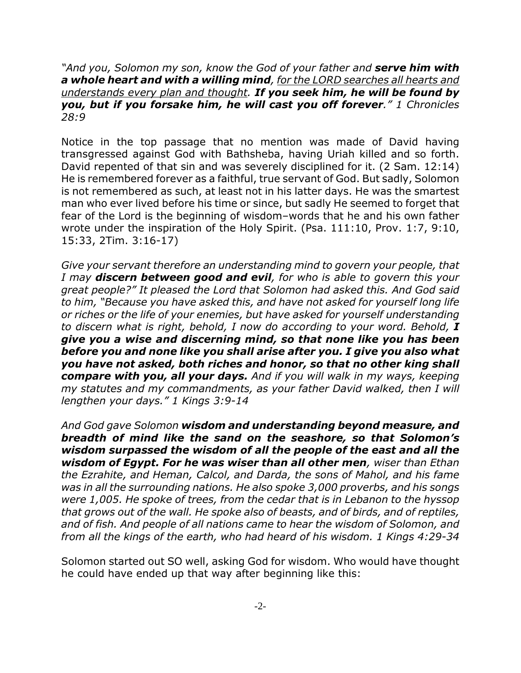*"And you, Solomon my son, know the God of your father and serve him with a whole heart and with a willing mind, for the LORD searches all hearts and understands every plan and thought. If you seek him, he will be found by you, but if you forsake him, he will cast you off forever." 1 Chronicles 28:9*

Notice in the top passage that no mention was made of David having transgressed against God with Bathsheba, having Uriah killed and so forth. David repented of that sin and was severely disciplined for it. (2 Sam. 12:14) He is remembered forever as a faithful, true servant of God. But sadly, Solomon is not remembered as such, at least not in his latter days. He was the smartest man who ever lived before his time or since, but sadly He seemed to forget that fear of the Lord is the beginning of wisdom–words that he and his own father wrote under the inspiration of the Holy Spirit. (Psa. 111:10, Prov. 1:7, 9:10, 15:33, 2Tim. 3:16-17)

*Give your servant therefore an understanding mind to govern your people, that I may discern between good and evil, for who is able to govern this your great people?" It pleased the Lord that Solomon had asked this. And God said to him, "Because you have asked this, and have not asked for yourself long life or riches or the life of your enemies, but have asked for yourself understanding to discern what is right, behold, I now do according to your word. Behold, I give you a wise and discerning mind, so that none like you has been before you and none like you shall arise after you. I give you also what you have not asked, both riches and honor, so that no other king shall compare with you, all your days. And if you will walk in my ways, keeping my statutes and my commandments, as your father David walked, then I will lengthen your days." 1 Kings 3:9-14*

*And God gave Solomon wisdom and understanding beyond measure, and breadth of mind like the sand on the seashore, so that Solomon's wisdom surpassed the wisdom of all the people of the east and all the wisdom of Egypt. For he was wiser than all other men, wiser than Ethan the Ezrahite, and Heman, Calcol, and Darda, the sons of Mahol, and his fame was in all the surrounding nations. He also spoke 3,000 proverbs, and his songs were 1,005. He spoke of trees, from the cedar that is in Lebanon to the hyssop that grows out of the wall. He spoke also of beasts, and of birds, and of reptiles, and of fish. And people of all nations came to hear the wisdom of Solomon, and from all the kings of the earth, who had heard of his wisdom. 1 Kings 4:29-34*

Solomon started out SO well, asking God for wisdom. Who would have thought he could have ended up that way after beginning like this: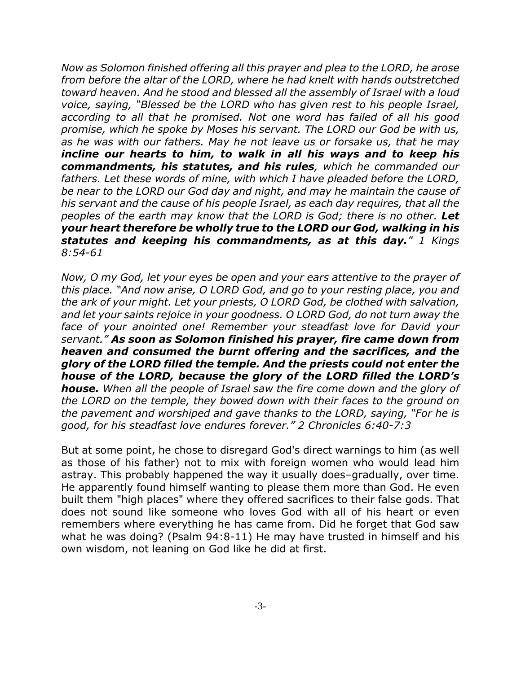*Now as Solomon finished offering all this prayer and plea to the LORD, he arose from before the altar of the LORD, where he had knelt with hands outstretched toward heaven. And he stood and blessed all the assembly of Israel with a loud voice, saying, "Blessed be the LORD who has given rest to his people Israel, according to all that he promised. Not one word has failed of all his good promise, which he spoke by Moses his servant. The LORD our God be with us, as he was with our fathers. May he not leave us or forsake us, that he may incline our hearts to him, to walk in all his ways and to keep his commandments, his statutes, and his rules, which he commanded our fathers. Let these words of mine, with which I have pleaded before the LORD, be near to the LORD our God day and night, and may he maintain the cause of his servant and the cause of his people Israel, as each day requires, that all the peoples of the earth may know that the LORD is God; there is no other. Let your heart therefore be wholly true to the LORD our God, walking in his statutes and keeping his commandments, as at this day." 1 Kings 8:54-61*

*Now, O my God, let your eyes be open and your ears attentive to the prayer of this place. "And now arise, O LORD God, and go to your resting place, you and the ark of your might. Let your priests, O LORD God, be clothed with salvation, and let your saints rejoice in your goodness. O LORD God, do not turn away the face of your anointed one! Remember your steadfast love for David your servant." As soon as Solomon finished his prayer, fire came down from heaven and consumed the burnt offering and the sacrifices, and the glory of the LORD filled the temple. And the priests could not enter the house of the LORD, because the glory of the LORD filled the LORD's house. When all the people of Israel saw the fire come down and the glory of the LORD on the temple, they bowed down with their faces to the ground on the pavement and worshiped and gave thanks to the LORD, saying, "For he is good, for his steadfast love endures forever." 2 Chronicles 6:40-7:3*

But at some point, he chose to disregard God's direct warnings to him (as well as those of his father) not to mix with foreign women who would lead him astray. This probably happened the way it usually does–gradually, over time. He apparently found himself wanting to please them more than God. He even built them "high places" where they offered sacrifices to their false gods. That does not sound like someone who loves God with all of his heart or even remembers where everything he has came from. Did he forget that God saw what he was doing? (Psalm 94:8-11) He may have trusted in himself and his own wisdom, not leaning on God like he did at first.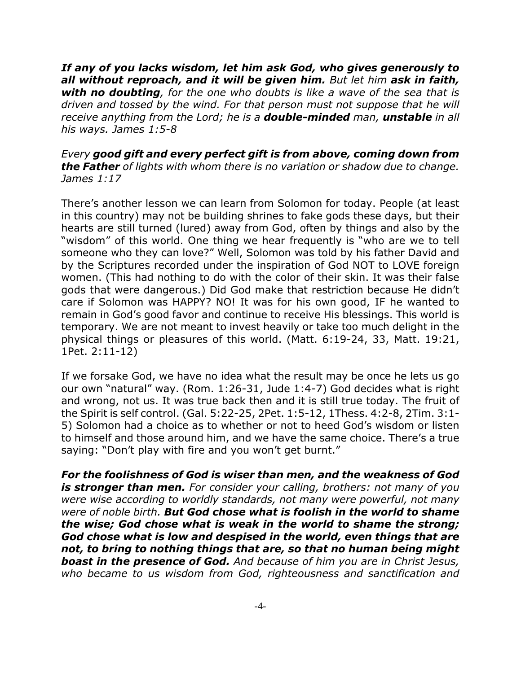*If any of you lacks wisdom, let him ask God, who gives generously to all without reproach, and it will be given him. But let him ask in faith, with no doubting, for the one who doubts is like a wave of the sea that is driven and tossed by the wind. For that person must not suppose that he will receive anything from the Lord; he is a double-minded man, unstable in all his ways. James 1:5-8*

### *Every good gift and every perfect gift is from above, coming down from the Father of lights with whom there is no variation or shadow due to change. James 1:17*

There's another lesson we can learn from Solomon for today. People (at least in this country) may not be building shrines to fake gods these days, but their hearts are still turned (lured) away from God, often by things and also by the "wisdom" of this world. One thing we hear frequently is "who are we to tell someone who they can love?" Well, Solomon was told by his father David and by the Scriptures recorded under the inspiration of God NOT to LOVE foreign women. (This had nothing to do with the color of their skin. It was their false gods that were dangerous.) Did God make that restriction because He didn't care if Solomon was HAPPY? NO! It was for his own good, IF he wanted to remain in God's good favor and continue to receive His blessings. This world is temporary. We are not meant to invest heavily or take too much delight in the physical things or pleasures of this world. (Matt. 6:19-24, 33, Matt. 19:21, 1Pet. 2:11-12)

If we forsake God, we have no idea what the result may be once he lets us go our own "natural" way. (Rom. 1:26-31, Jude 1:4-7) God decides what is right and wrong, not us. It was true back then and it is still true today. The fruit of the Spirit is self control. (Gal. 5:22-25, 2Pet. 1:5-12, 1Thess. 4:2-8, 2Tim. 3:1- 5) Solomon had a choice as to whether or not to heed God's wisdom or listen to himself and those around him, and we have the same choice. There's a true saying: "Don't play with fire and you won't get burnt."

*For the foolishness of God is wiser than men, and the weakness of God is stronger than men. For consider your calling, brothers: not many of you were wise according to worldly standards, not many were powerful, not many were of noble birth. But God chose what is foolish in the world to shame the wise; God chose what is weak in the world to shame the strong; God chose what is low and despised in the world, even things that are not, to bring to nothing things that are, so that no human being might boast in the presence of God. And because of him you are in Christ Jesus, who became to us wisdom from God, righteousness and sanctification and*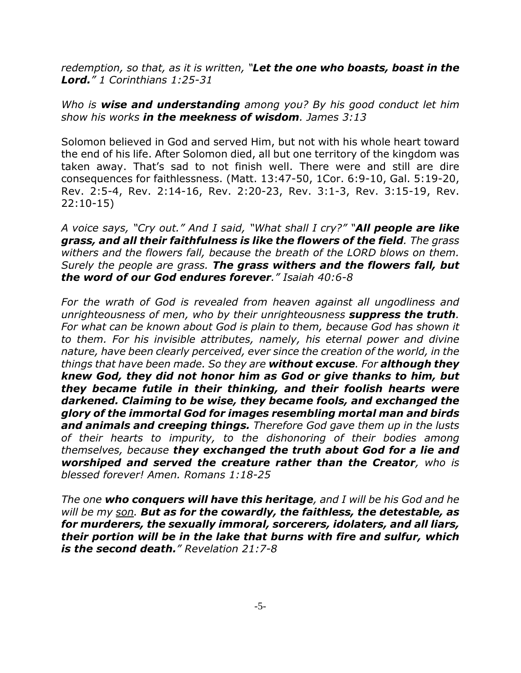*redemption, so that, as it is written, "Let the one who boasts, boast in the Lord." 1 Corinthians 1:25-31*

## *Who is wise and understanding among you? By his good conduct let him show his works in the meekness of wisdom. James 3:13*

Solomon believed in God and served Him, but not with his whole heart toward the end of his life. After Solomon died, all but one territory of the kingdom was taken away. That's sad to not finish well. There were and still are dire consequences for faithlessness. (Matt. 13:47-50, 1Cor. 6:9-10, Gal. 5:19-20, Rev. 2:5-4, Rev. 2:14-16, Rev. 2:20-23, Rev. 3:1-3, Rev. 3:15-19, Rev. 22:10-15)

*A voice says, "Cry out." And I said, "What shall I cry?" "All people are like grass, and all their faithfulness is like the flowers of the field. The grass withers and the flowers fall, because the breath of the LORD blows on them. Surely the people are grass. The grass withers and the flowers fall, but the word of our God endures forever." Isaiah 40:6-8*

*For the wrath of God is revealed from heaven against all ungodliness and unrighteousness of men, who by their unrighteousness suppress the truth. For what can be known about God is plain to them, because God has shown it to them. For his invisible attributes, namely, his eternal power and divine nature, have been clearly perceived, ever since the creation of the world, in the things that have been made. So they are without excuse. For although they knew God, they did not honor him as God or give thanks to him, but they became futile in their thinking, and their foolish hearts were darkened. Claiming to be wise, they became fools, and exchanged the glory of the immortal God for images resembling mortal man and birds and animals and creeping things. Therefore God gave them up in the lusts of their hearts to impurity, to the dishonoring of their bodies among themselves, because they exchanged the truth about God for a lie and worshiped and served the creature rather than the Creator, who is blessed forever! Amen. Romans 1:18-25*

*The one who conquers will have this heritage, and I will be his God and he will be my son. But as for the cowardly, the faithless, the detestable, as for murderers, the sexually immoral, sorcerers, idolaters, and all liars, their portion will be in the lake that burns with fire and sulfur, which is the second death." Revelation 21:7-8*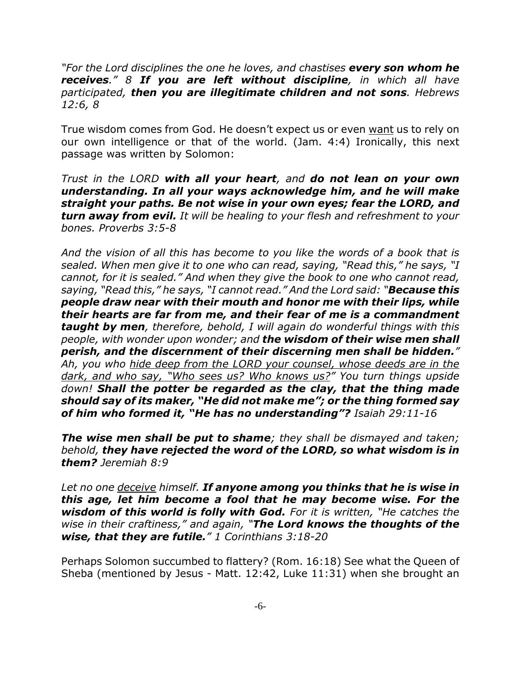*"For the Lord disciplines the one he loves, and chastises every son whom he receives." 8 If you are left without discipline, in which all have participated, then you are illegitimate children and not sons. Hebrews 12:6, 8*

True wisdom comes from God. He doesn't expect us or even want us to rely on our own intelligence or that of the world. (Jam. 4:4) Ironically, this next passage was written by Solomon:

*Trust in the LORD with all your heart, and do not lean on your own understanding. In all your ways acknowledge him, and he will make straight your paths. Be not wise in your own eyes; fear the LORD, and turn away from evil. It will be healing to your flesh and refreshment to your bones. Proverbs 3:5-8*

*And the vision of all this has become to you like the words of a book that is sealed. When men give it to one who can read, saying, "Read this," he says, "I cannot, for it is sealed." And when they give the book to one who cannot read, saying, "Read this," he says, "I cannot read." And the Lord said: "Because this people draw near with their mouth and honor me with their lips, while their hearts are far from me, and their fear of me is a commandment taught by men, therefore, behold, I will again do wonderful things with this people, with wonder upon wonder; and the wisdom of their wise men shall perish, and the discernment of their discerning men shall be hidden." Ah, you who hide deep from the LORD your counsel, whose deeds are in the dark, and who say, "Who sees us? Who knows us?" You turn things upside down! Shall the potter be regarded as the clay, that the thing made should say of its maker, "He did not make me"; or the thing formed say of him who formed it, "He has no understanding"? Isaiah 29:11-16*

*The wise men shall be put to shame; they shall be dismayed and taken; behold, they have rejected the word of the LORD, so what wisdom is in them? Jeremiah 8:9*

*Let no one deceive himself. If anyone among you thinks that he is wise in this age, let him become a fool that he may become wise. For the wisdom of this world is folly with God. For it is written, "He catches the wise in their craftiness," and again, "The Lord knows the thoughts of the wise, that they are futile." 1 Corinthians 3:18-20*

Perhaps Solomon succumbed to flattery? (Rom. 16:18) See what the Queen of Sheba (mentioned by Jesus - Matt. 12:42, Luke 11:31) when she brought an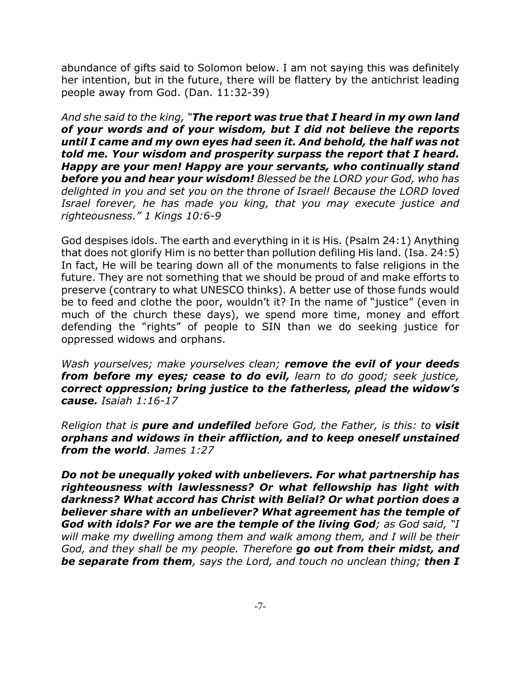abundance of gifts said to Solomon below. I am not saying this was definitely her intention, but in the future, there will be flattery by the antichrist leading people away from God. (Dan. 11:32-39)

*And she said to the king, "The report was true that I heard in my own land of your words and of your wisdom, but I did not believe the reports until I came and my own eyes had seen it. And behold, the half was not told me. Your wisdom and prosperity surpass the report that I heard. Happy are your men! Happy are your servants, who continually stand before you and hear your wisdom! Blessed be the LORD your God, who has delighted in you and set you on the throne of Israel! Because the LORD loved Israel forever, he has made you king, that you may execute justice and righteousness." 1 Kings 10:6-9*

God despises idols. The earth and everything in it is His. (Psalm 24:1) Anything that does not glorify Him is no better than pollution defiling His land. (Isa. 24:5) In fact, He will be tearing down all of the monuments to false religions in the future. They are not something that we should be proud of and make efforts to preserve (contrary to what UNESCO thinks). A better use of those funds would be to feed and clothe the poor, wouldn't it? In the name of "justice" (even in much of the church these days), we spend more time, money and effort defending the "rights" of people to SIN than we do seeking justice for oppressed widows and orphans.

*Wash yourselves; make yourselves clean; remove the evil of your deeds from before my eyes; cease to do evil, learn to do good; seek justice, correct oppression; bring justice to the fatherless, plead the widow's cause. Isaiah 1:16-17*

*Religion that is pure and undefiled before God, the Father, is this: to visit orphans and widows in their affliction, and to keep oneself unstained from the world. James 1:27*

*Do not be unequally yoked with unbelievers. For what partnership has righteousness with lawlessness? Or what fellowship has light with darkness? What accord has Christ with Belial? Or what portion does a believer share with an unbeliever? What agreement has the temple of God with idols? For we are the temple of the living God; as God said, "I will make my dwelling among them and walk among them, and I will be their God, and they shall be my people. Therefore go out from their midst, and be separate from them, says the Lord, and touch no unclean thing; then I*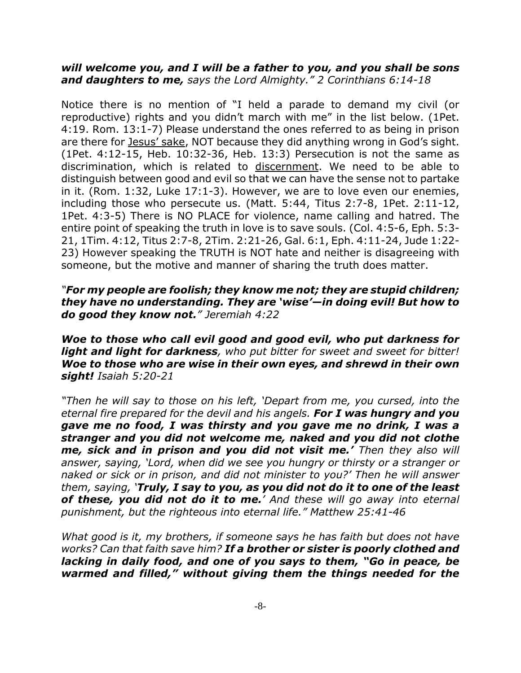### *will welcome you, and I will be a father to you, and you shall be sons and daughters to me, says the Lord Almighty." 2 Corinthians 6:14-18*

Notice there is no mention of "I held a parade to demand my civil (or reproductive) rights and you didn't march with me" in the list below. (1Pet. 4:19. Rom. 13:1-7) Please understand the ones referred to as being in prison are there for Jesus' sake, NOT because they did anything wrong in God's sight. (1Pet. 4:12-15, Heb. 10:32-36, Heb. 13:3) Persecution is not the same as discrimination, which is related to discernment. We need to be able to distinguish between good and evil so that we can have the sense not to partake in it. (Rom. 1:32, Luke 17:1-3). However, we are to love even our enemies, including those who persecute us. (Matt. 5:44, Titus 2:7-8, 1Pet. 2:11-12, 1Pet. 4:3-5) There is NO PLACE for violence, name calling and hatred. The entire point of speaking the truth in love is to save souls. (Col. 4:5-6, Eph. 5:3- 21, 1Tim. 4:12, Titus 2:7-8, 2Tim. 2:21-26, Gal. 6:1, Eph. 4:11-24, Jude 1:22- 23) However speaking the TRUTH is NOT hate and neither is disagreeing with someone, but the motive and manner of sharing the truth does matter.

## *"For my people are foolish; they know me not; they are stupid children; they have no understanding. They are 'wise'—in doing evil! But how to do good they know not." Jeremiah 4:22*

*Woe to those who call evil good and good evil, who put darkness for light and light for darkness, who put bitter for sweet and sweet for bitter! Woe to those who are wise in their own eyes, and shrewd in their own sight! Isaiah 5:20-21*

*"Then he will say to those on his left, 'Depart from me, you cursed, into the eternal fire prepared for the devil and his angels. For I was hungry and you gave me no food, I was thirsty and you gave me no drink, I was a stranger and you did not welcome me, naked and you did not clothe me, sick and in prison and you did not visit me.' Then they also will answer, saying, 'Lord, when did we see you hungry or thirsty or a stranger or naked or sick or in prison, and did not minister to you?' Then he will answer them, saying, 'Truly, I say to you, as you did not do it to one of the least of these, you did not do it to me.' And these will go away into eternal punishment, but the righteous into eternal life." Matthew 25:41-46*

*What good is it, my brothers, if someone says he has faith but does not have works? Can that faith save him? If a brother or sister is poorly clothed and lacking in daily food, and one of you says to them, "Go in peace, be warmed and filled," without giving them the things needed for the*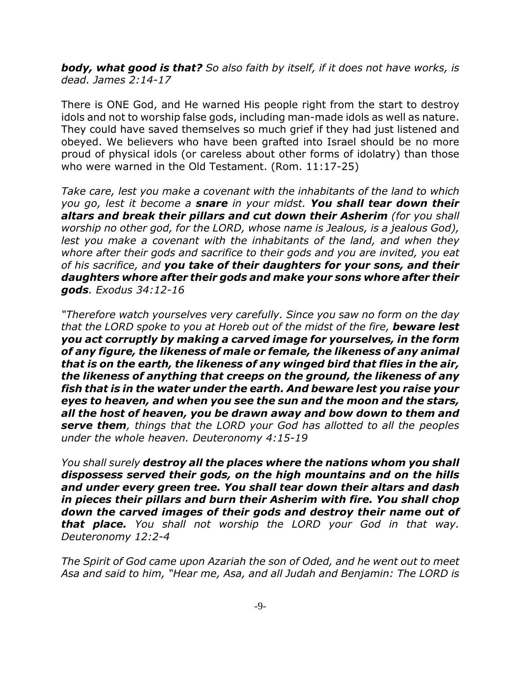*body, what good is that? So also faith by itself, if it does not have works, is dead. James 2:14-17*

There is ONE God, and He warned His people right from the start to destroy idols and not to worship false gods, including man-made idols as well as nature. They could have saved themselves so much grief if they had just listened and obeyed. We believers who have been grafted into Israel should be no more proud of physical idols (or careless about other forms of idolatry) than those who were warned in the Old Testament. (Rom. 11:17-25)

*Take care, lest you make a covenant with the inhabitants of the land to which you go, lest it become a snare in your midst. You shall tear down their altars and break their pillars and cut down their Asherim (for you shall worship no other god, for the LORD, whose name is Jealous, is a jealous God), lest you make a covenant with the inhabitants of the land, and when they whore after their gods and sacrifice to their gods and you are invited, you eat of his sacrifice, and you take of their daughters for your sons, and their daughters whore after their gods and make your sons whore after their gods. Exodus 34:12-16*

*"Therefore watch yourselves very carefully. Since you saw no form on the day that the LORD spoke to you at Horeb out of the midst of the fire, beware lest you act corruptly by making a carved image for yourselves, in the form of any figure, the likeness of male or female, the likeness of any animal that is on the earth, the likeness of any winged bird that flies in the air, the likeness of anything that creeps on the ground, the likeness of any fish that is in the water under the earth. And beware lest you raise your eyes to heaven, and when you see the sun and the moon and the stars, all the host of heaven, you be drawn away and bow down to them and serve them, things that the LORD your God has allotted to all the peoples under the whole heaven. Deuteronomy 4:15-19* 

*You shall surely destroy all the places where the nations whom you shall dispossess served their gods, on the high mountains and on the hills and under every green tree. You shall tear down their altars and dash in pieces their pillars and burn their Asherim with fire. You shall chop down the carved images of their gods and destroy their name out of that place. You shall not worship the LORD your God in that way. Deuteronomy 12:2-4*

*The Spirit of God came upon Azariah the son of Oded, and he went out to meet Asa and said to him, "Hear me, Asa, and all Judah and Benjamin: The LORD is*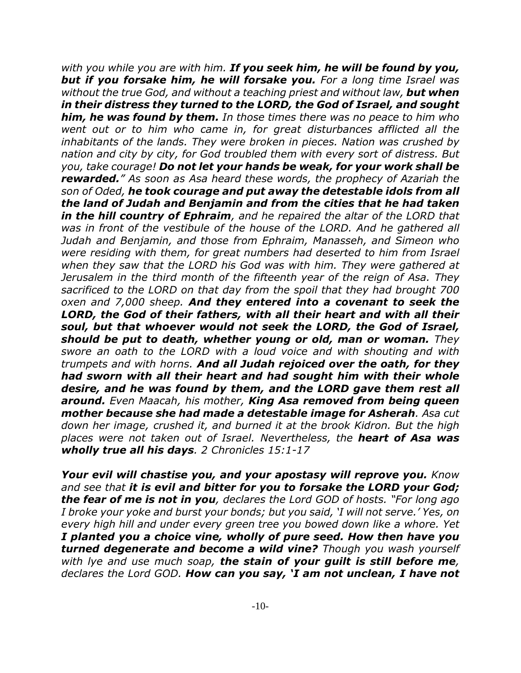*with you while you are with him. If you seek him, he will be found by you, but if you forsake him, he will forsake you. For a long time Israel was without the true God, and without a teaching priest and without law, but when in their distress they turned to the LORD, the God of Israel, and sought him, he was found by them. In those times there was no peace to him who went out or to him who came in, for great disturbances afflicted all the inhabitants of the lands. They were broken in pieces. Nation was crushed by nation and city by city, for God troubled them with every sort of distress. But you, take courage! Do not let your hands be weak, for your work shall be rewarded." As soon as Asa heard these words, the prophecy of Azariah the son of Oded, he took courage and put away the detestable idols from all the land of Judah and Benjamin and from the cities that he had taken in the hill country of Ephraim, and he repaired the altar of the LORD that was in front of the vestibule of the house of the LORD. And he gathered all Judah and Benjamin, and those from Ephraim, Manasseh, and Simeon who were residing with them, for great numbers had deserted to him from Israel when they saw that the LORD his God was with him. They were gathered at Jerusalem in the third month of the fifteenth year of the reign of Asa. They sacrificed to the LORD on that day from the spoil that they had brought 700 oxen and 7,000 sheep. And they entered into a covenant to seek the LORD, the God of their fathers, with all their heart and with all their soul, but that whoever would not seek the LORD, the God of Israel, should be put to death, whether young or old, man or woman. They swore an oath to the LORD with a loud voice and with shouting and with trumpets and with horns. And all Judah rejoiced over the oath, for they had sworn with all their heart and had sought him with their whole desire, and he was found by them, and the LORD gave them rest all around. Even Maacah, his mother, King Asa removed from being queen mother because she had made a detestable image for Asherah. Asa cut down her image, crushed it, and burned it at the brook Kidron. But the high places were not taken out of Israel. Nevertheless, the heart of Asa was wholly true all his days. 2 Chronicles 15:1-17*

*Your evil will chastise you, and your apostasy will reprove you. Know and see that it is evil and bitter for you to forsake the LORD your God; the fear of me is not in you, declares the Lord GOD of hosts. "For long ago I broke your yoke and burst your bonds; but you said, 'I will not serve.' Yes, on every high hill and under every green tree you bowed down like a whore. Yet I planted you a choice vine, wholly of pure seed. How then have you turned degenerate and become a wild vine? Though you wash yourself with lye and use much soap, the stain of your guilt is still before me, declares the Lord GOD. How can you say, 'I am not unclean, I have not*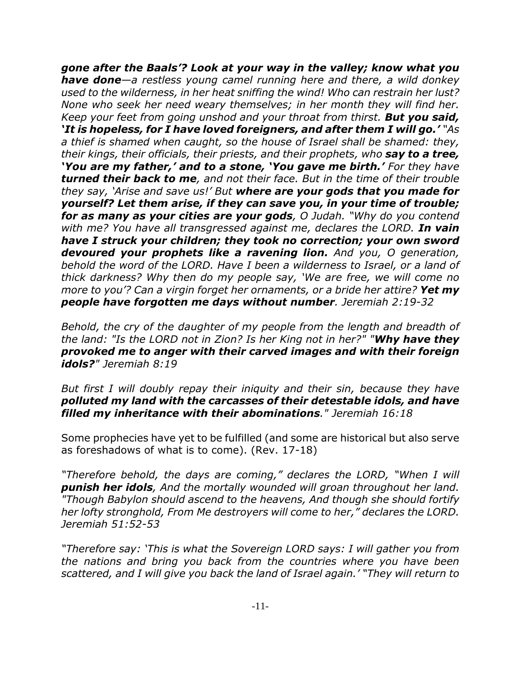*gone after the Baals'? Look at your way in the valley; know what you have done—a restless young camel running here and there, a wild donkey used to the wilderness, in her heat sniffing the wind! Who can restrain her lust? None who seek her need weary themselves; in her month they will find her. Keep your feet from going unshod and your throat from thirst. But you said, 'It is hopeless, for I have loved foreigners, and after them I will go.' "As a thief is shamed when caught, so the house of Israel shall be shamed: they, their kings, their officials, their priests, and their prophets, who say to a tree, 'You are my father,' and to a stone, 'You gave me birth.' For they have turned their back to me, and not their face. But in the time of their trouble they say, 'Arise and save us!' But where are your gods that you made for yourself? Let them arise, if they can save you, in your time of trouble; for as many as your cities are your gods, O Judah. "Why do you contend with me? You have all transgressed against me, declares the LORD. In vain have I struck your children; they took no correction; your own sword devoured your prophets like a ravening lion. And you, O generation, behold the word of the LORD. Have I been a wilderness to Israel, or a land of thick darkness? Why then do my people say, 'We are free, we will come no more to you'? Can a virgin forget her ornaments, or a bride her attire? Yet my people have forgotten me days without number. Jeremiah 2:19-32*

*Behold, the cry of the daughter of my people from the length and breadth of the land: "Is the LORD not in Zion? Is her King not in her?" "Why have they provoked me to anger with their carved images and with their foreign idols?" Jeremiah 8:19*

*But first I will doubly repay their iniquity and their sin, because they have polluted my land with the carcasses of their detestable idols, and have filled my inheritance with their abominations." Jeremiah 16:18*

Some prophecies have yet to be fulfilled (and some are historical but also serve as foreshadows of what is to come). (Rev. 17-18)

*"Therefore behold, the days are coming," declares the LORD, "When I will punish her idols, And the mortally wounded will groan throughout her land. "Though Babylon should ascend to the heavens, And though she should fortify her lofty stronghold, From Me destroyers will come to her," declares the LORD. Jeremiah 51:52-53*

*"Therefore say: 'This is what the Sovereign LORD says: I will gather you from the nations and bring you back from the countries where you have been scattered, and I will give you back the land of Israel again.' "They will return to*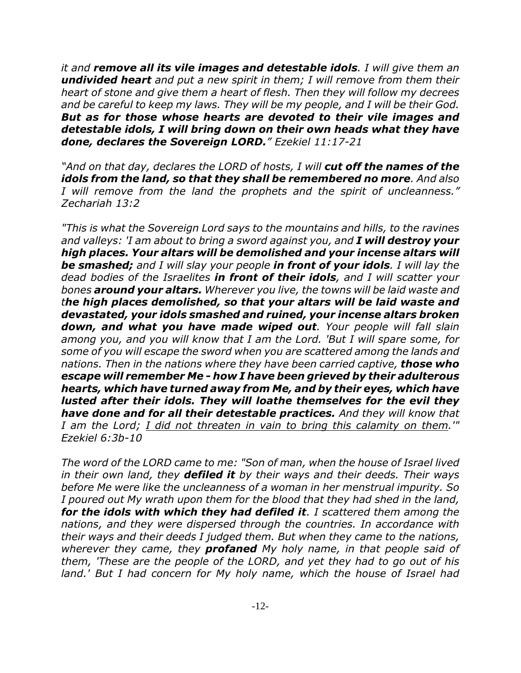*it and remove all its vile images and detestable idols. I will give them an undivided heart and put a new spirit in them; I will remove from them their heart of stone and give them a heart of flesh. Then they will follow my decrees and be careful to keep my laws. They will be my people, and I will be their God. But as for those whose hearts are devoted to their vile images and detestable idols, I will bring down on their own heads what they have done, declares the Sovereign LORD." Ezekiel 11:17-21*

*"And on that day, declares the LORD of hosts, I will cut off the names of the idols from the land, so that they shall be remembered no more. And also I will remove from the land the prophets and the spirit of uncleanness." Zechariah 13:2*

*"This is what the Sovereign Lord says to the mountains and hills, to the ravines and valleys: 'I am about to bring a sword against you, and I will destroy your high places. Your altars will be demolished and your incense altars will be smashed; and I will slay your people in front of your idols. I will lay the dead bodies of the Israelites in front of their idols, and I will scatter your bones around your altars. Wherever you live, the towns will be laid waste and the high places demolished, so that your altars will be laid waste and devastated, your idols smashed and ruined, your incense altars broken down, and what you have made wiped out. Your people will fall slain among you, and you will know that I am the Lord. 'But I will spare some, for some of you will escape the sword when you are scattered among the lands and nations. Then in the nations where they have been carried captive, those who escape will remember Me - how I have been grieved by their adulterous hearts, which have turned away from Me, and by their eyes, which have lusted after their idols. They will loathe themselves for the evil they have done and for all their detestable practices. And they will know that I am the Lord; I did not threaten in vain to bring this calamity on them.'" Ezekiel 6:3b-10*

*The word of the LORD came to me: "Son of man, when the house of Israel lived in their own land, they defiled it by their ways and their deeds. Their ways before Me were like the uncleanness of a woman in her menstrual impurity. So I poured out My wrath upon them for the blood that they had shed in the land, for the idols with which they had defiled it. I scattered them among the nations, and they were dispersed through the countries. In accordance with their ways and their deeds I judged them. But when they came to the nations, wherever they came, they profaned My holy name, in that people said of them, 'These are the people of the LORD, and yet they had to go out of his land.' But I had concern for My holy name, which the house of Israel had*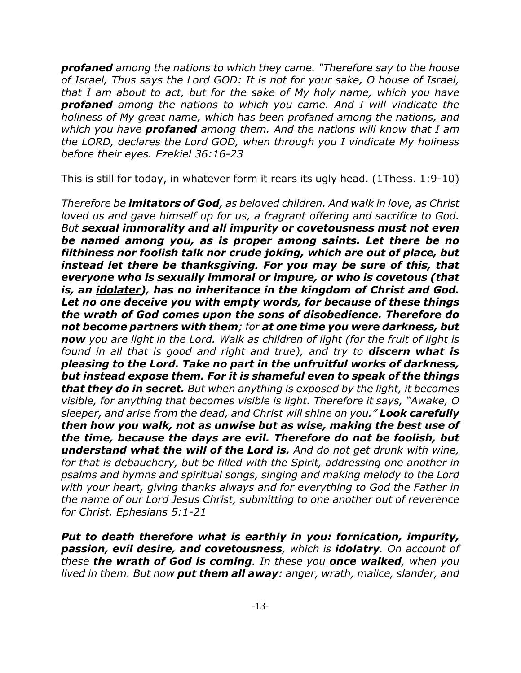*profaned among the nations to which they came. "Therefore say to the house of Israel, Thus says the Lord GOD: It is not for your sake, O house of Israel, that I am about to act, but for the sake of My holy name, which you have profaned among the nations to which you came. And I will vindicate the holiness of My great name, which has been profaned among the nations, and which you have profaned among them. And the nations will know that I am the LORD, declares the Lord GOD, when through you I vindicate My holiness before their eyes. Ezekiel 36:16-23*

This is still for today, in whatever form it rears its ugly head. (1Thess. 1:9-10)

*Therefore be imitators of God, as beloved children. And walk in love, as Christ loved us and gave himself up for us, a fragrant offering and sacrifice to God. But sexual immorality and all impurity or covetousness must not even be named among you, as is proper among saints. Let there be no filthiness nor foolish talk nor crude joking, which are out of place, but instead let there be thanksgiving. For you may be sure of this, that everyone who is sexually immoral or impure, or who is covetous (that is, an idolater), has no inheritance in the kingdom of Christ and God. Let no one deceive you with empty words, for because of these things the wrath of God comes upon the sons of disobedience. Therefore do not become partners with them; for at one time you were darkness, but now you are light in the Lord. Walk as children of light (for the fruit of light is found in all that is good and right and true), and try to discern what is pleasing to the Lord. Take no part in the unfruitful works of darkness, but instead expose them. For it is shameful even to speak of the things that they do in secret. But when anything is exposed by the light, it becomes visible, for anything that becomes visible is light. Therefore it says, "Awake, O sleeper, and arise from the dead, and Christ will shine on you." Look carefully then how you walk, not as unwise but as wise, making the best use of the time, because the days are evil. Therefore do not be foolish, but understand what the will of the Lord is. And do not get drunk with wine, for that is debauchery, but be filled with the Spirit, addressing one another in psalms and hymns and spiritual songs, singing and making melody to the Lord with your heart, giving thanks always and for everything to God the Father in the name of our Lord Jesus Christ, submitting to one another out of reverence for Christ. Ephesians 5:1-21*

*Put to death therefore what is earthly in you: fornication, impurity, passion, evil desire, and covetousness, which is idolatry. On account of these the wrath of God is coming. In these you once walked, when you lived in them. But now put them all away: anger, wrath, malice, slander, and*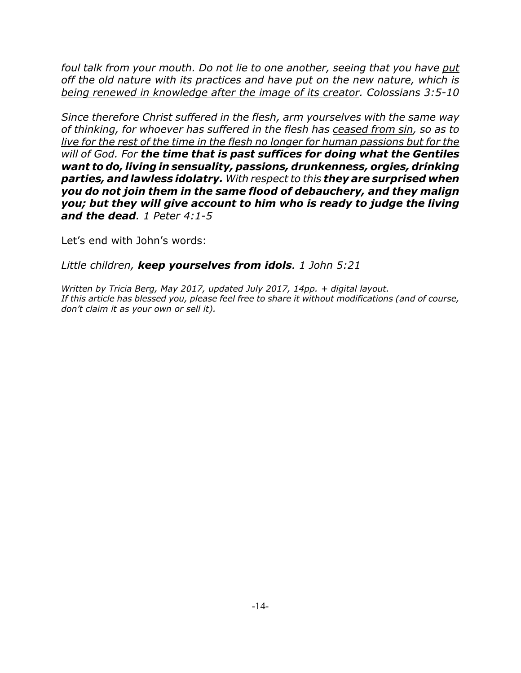*foul talk from your mouth. Do not lie to one another, seeing that you have put off the old nature with its practices and have put on the new nature, which is being renewed in knowledge after the image of its creator. Colossians 3:5-10*

*Since therefore Christ suffered in the flesh, arm yourselves with the same way of thinking, for whoever has suffered in the flesh has ceased from sin, so as to live for the rest of the time in the flesh no longer for human passions but for the will of God. For the time that is past suffices for doing what the Gentiles want to do, living in sensuality, passions, drunkenness, orgies, drinking parties, and lawless idolatry. With respect to this they are surprised when you do not join them in the same flood of debauchery, and they malign you; but they will give account to him who is ready to judge the living and the dead. 1 Peter 4:1-5*

Let's end with John's words:

*Little children, keep yourselves from idols. 1 John 5:21*

*Written by Tricia Berg, May 2017, updated July 2017, 14pp. + digital layout. If this article has blessed you, please feel free to share it without modifications (and of course, don't claim it as your own or sell it).*